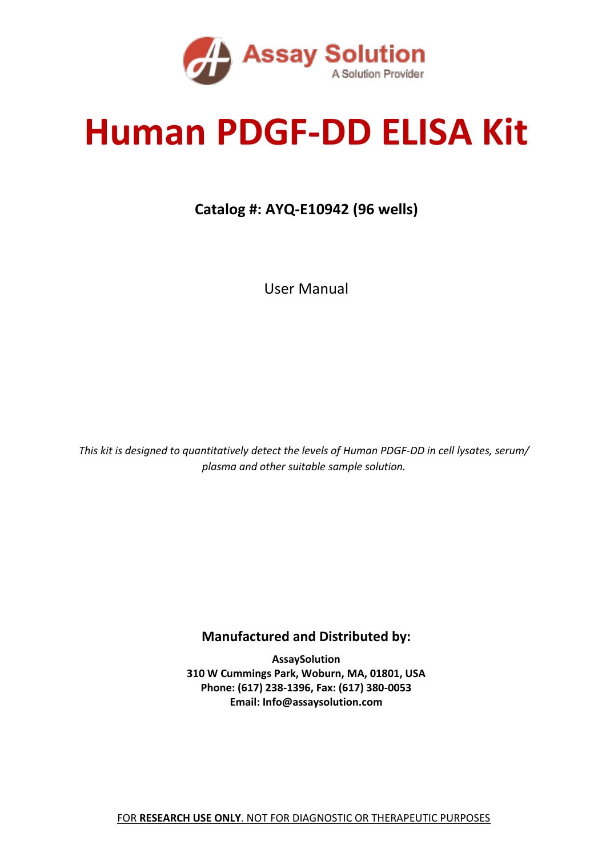

# **Human PDGF-DD ELISA Kit**

#### **Catalog #: AYQ-E10942 (96 wells)**

User Manual

*This kit is designed to quantitatively detect the levels of Human PDGF-DD in cell lysates, serum/ plasma and other suitable sample solution.*

#### **Manufactured and Distributed by:**

**AssaySolution 310 W Cummings Park, Woburn, MA, 01801, USA Phone: (617) 238-1396, Fax: (617) 380-0053 Email: Info@assaysolution.com**

FOR **RESEARCH USE ONLY**. NOT FOR DIAGNOSTIC OR THERAPEUTIC PURPOSES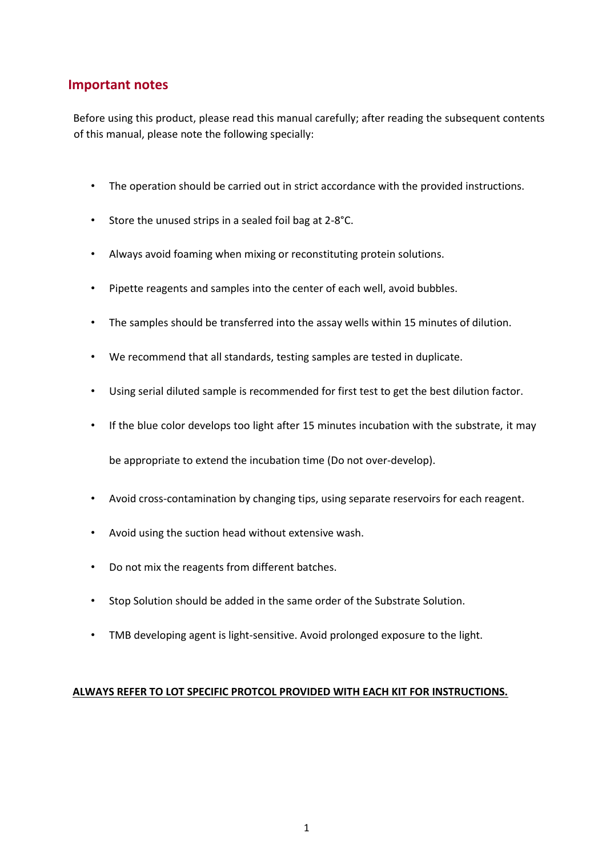#### **Important notes**

Before using this product, please read this manual carefully; after reading the subsequent contents of this manual, please note the following specially:

- The operation should be carried out in strict accordance with the provided instructions.
- Store the unused strips in a sealed foil bag at 2-8°C.
- Always avoid foaming when mixing or reconstituting protein solutions.
- Pipette reagents and samples into the center of each well, avoid bubbles.
- The samples should be transferred into the assay wells within 15 minutes of dilution.
- We recommend that all standards, testing samples are tested in duplicate.
- Using serial diluted sample is recommended for first test to get the best dilution factor.
- If the blue color develops too light after 15 minutes incubation with the substrate, it may

be appropriate to extend the incubation time (Do not over-develop).

- Avoid cross-contamination by changing tips, using separate reservoirs for each reagent.
- Avoid using the suction head without extensive wash.
- Do not mix the reagents from different batches.
- Stop Solution should be added in the same order of the Substrate Solution.
- TMB developing agent is light-sensitive. Avoid prolonged exposure to the light.

#### **ALWAYS REFER TO LOT SPECIFIC PROTCOL PROVIDED WITH EACH KIT FOR INSTRUCTIONS.**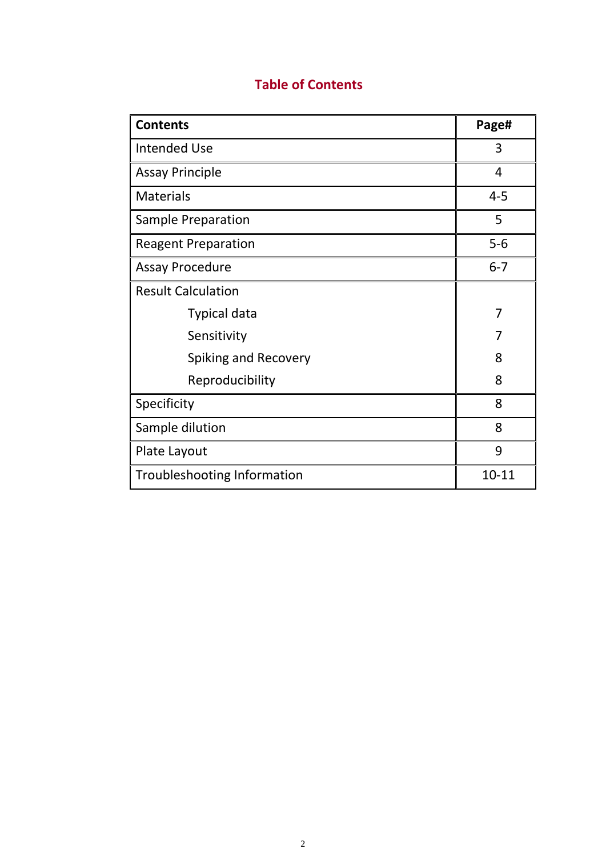| <b>Contents</b>                    | Page#     |
|------------------------------------|-----------|
| <b>Intended Use</b>                | 3         |
| <b>Assay Principle</b>             | 4         |
| <b>Materials</b>                   | $4 - 5$   |
| Sample Preparation                 | 5         |
| <b>Reagent Preparation</b>         | $5-6$     |
| <b>Assay Procedure</b>             | $6 - 7$   |
| <b>Result Calculation</b>          |           |
| <b>Typical data</b>                | 7         |
| Sensitivity                        | 7         |
| Spiking and Recovery               | 8         |
| Reproducibility                    | 8         |
| Specificity                        | 8         |
| Sample dilution                    | 8         |
| Plate Layout                       | 9         |
| <b>Troubleshooting Information</b> | $10 - 11$ |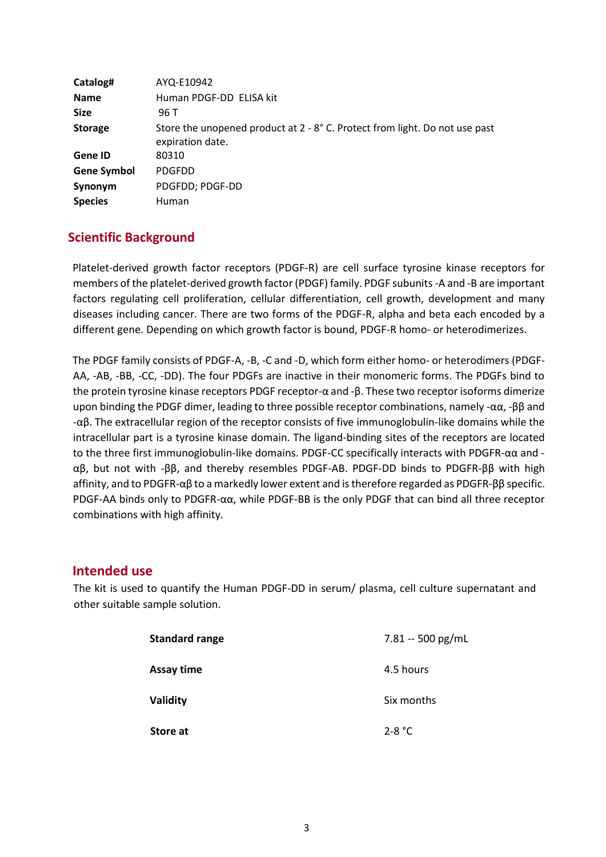| Catalog#           | AYQ-E10942                                                                                      |
|--------------------|-------------------------------------------------------------------------------------------------|
| <b>Name</b>        | Human PDGF-DD ELISA kit                                                                         |
| <b>Size</b>        | 96 T                                                                                            |
| <b>Storage</b>     | Store the unopened product at 2 - 8° C. Protect from light. Do not use past<br>expiration date. |
| Gene ID            | 80310                                                                                           |
| <b>Gene Symbol</b> | <b>PDGFDD</b>                                                                                   |
| Synonym            | PDGFDD; PDGF-DD                                                                                 |
| <b>Species</b>     | <b>Human</b>                                                                                    |

#### **Scientific Background**

Platelet-derived growth factor receptors (PDGF-R) are cell surface tyrosine kinase receptors for members of the platelet-derived growth factor (PDGF) family. PDGF subunits -A and -B are important factors regulating cell proliferation, cellular differentiation, cell growth, development and many diseases including cancer. There are two forms of the PDGF-R, alpha and beta each encoded by a different gene. Depending on which growth factor is bound, PDGF-R homo- or heterodimerizes.

The PDGF family consists of PDGF-A, -B, -C and -D, which form either homo- or heterodimers (PDGF-AA, -AB, -BB, -CC, -DD). The four PDGFs are inactive in their monomeric forms. The PDGFs bind to the protein tyrosine kinase receptors PDGF receptor-α and -β. These two receptor isoforms dimerize upon binding the PDGF dimer, leading to three possible receptor combinations, namely - $\alpha\alpha$ , - $\beta\beta$  and -αβ. The extracellular region of the receptor consists of five immunoglobulin-like domains while the intracellular part is a tyrosine kinase domain. The ligand-binding sites of the receptors are located to the three first immunoglobulin-like domains. PDGF-CC specifically interacts with PDGFR-αα and αβ, but not with -ββ, and thereby resembles PDGF-AB. PDGF-DD binds to PDGFR-ββ with high affinity, and to PDGFR-αβ to a markedly lower extent and is therefore regarded as PDGFR-ββ specific. PDGF-AA binds only to PDGFR-αα, while PDGF-BB is the only PDGF that can bind all three receptor combinations with high affinity.

#### **Intended use**

The kit is used to quantify the Human PDGF-DD in serum/ plasma, cell culture supernatant and other suitable sample solution.

| <b>Standard range</b> | 7.81 -- 500 pg/mL |
|-----------------------|-------------------|
| Assay time            | 4.5 hours         |
| Validity              | Six months        |
| Store at              | 2-8 °C            |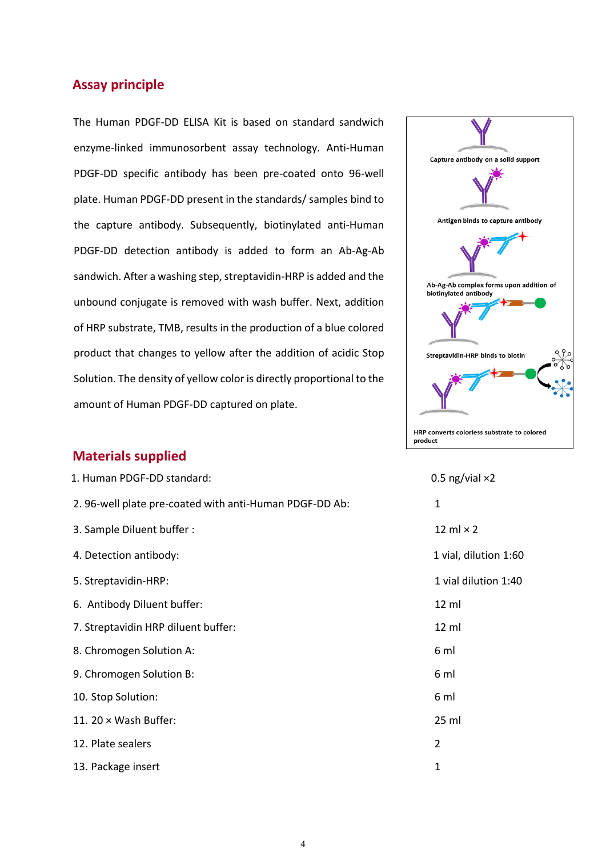#### **Assay principle**

The Human PDGF-DD ELISA Kit is based on standard sandwich enzyme-linked immunosorbent assay technology. Anti-Human PDGF-DD specific antibody has been pre-coated onto 96-well plate. Human PDGF-DD present in the standards/ samples bind to the capture antibody. Subsequently, biotinylated anti-Human PDGF-DD detection antibody is added to form an Ab-Ag-Ab sandwich. After a washing step, streptavidin-HRP is added and the unbound conjugate is removed with wash buffer. Next, addition of HRP substrate, TMB, results in the production of a blue colored product that changes to yellow after the addition of acidic Stop Solution. The density of yellow color is directly proportional to the amount of Human PDGF-DD captured on plate.



| 1. Human PDGF-DD standard:                              | 0.5 ng/vial $\times 2$ |
|---------------------------------------------------------|------------------------|
| 2. 96-well plate pre-coated with anti-Human PDGF-DD Ab: | 1                      |
| 3. Sample Diluent buffer:                               | 12 ml $\times$ 2       |
| 4. Detection antibody:                                  | 1 vial, dilution 1:60  |
| 5. Streptavidin-HRP:                                    | 1 vial dilution 1:40   |
| 6. Antibody Diluent buffer:                             | 12 ml                  |
| 7. Streptavidin HRP diluent buffer:                     | 12 ml                  |
| 8. Chromogen Solution A:                                | 6 ml                   |
| 9. Chromogen Solution B:                                | 6 ml                   |
| 10. Stop Solution:                                      | 6 ml                   |
| 11. 20 $\times$ Wash Buffer:                            | 25 ml                  |
| 12. Plate sealers                                       | $\overline{2}$         |
| 13. Package insert                                      | 1                      |



| 0.5 ng/vial $\times 2$   |
|--------------------------|
| 1                        |
| $12 \text{ ml} \times 2$ |
| 1 vial, dilution 1:60    |
| 1 vial dilution 1:40     |
| 12 ml                    |
| 12 ml                    |
| 6 ml                     |
| 6 ml                     |
| 6 ml                     |
| 25 ml                    |
| 2                        |
| 1                        |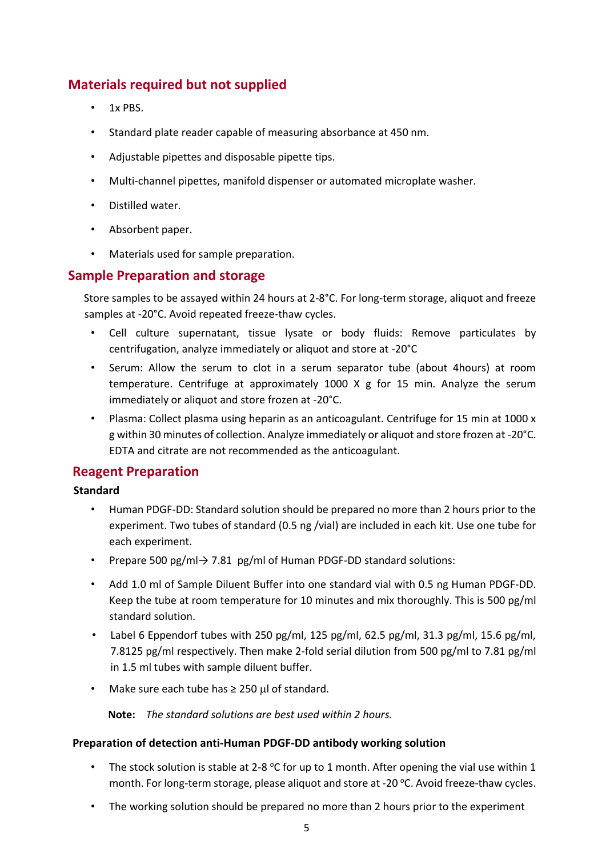#### **Materials required but not supplied**

- 1x PBS.
- Standard plate reader capable of measuring absorbance at 450 nm.
- Adjustable pipettes and disposable pipette tips.
- Multi-channel pipettes, manifold dispenser or automated microplate washer.
- Distilled water.
- Absorbent paper.
- Materials used for sample preparation.

#### **Sample Preparation and storage**

Store samples to be assayed within 24 hours at 2-8°C. For long-term storage, aliquot and freeze samples at -20°C. Avoid repeated freeze-thaw cycles.

- Cell culture supernatant, tissue lysate or body fluids: Remove particulates by centrifugation, analyze immediately or aliquot and store at -20°C
- Serum: Allow the serum to clot in a serum separator tube (about 4hours) at room temperature. Centrifuge at approximately 1000 X g for 15 min. Analyze the serum immediately or aliquot and store frozen at -20°C.
- Plasma: Collect plasma using heparin as an anticoagulant. Centrifuge for 15 min at 1000 x g within 30 minutes of collection. Analyze immediately or aliquot and store frozen at -20°C. EDTA and citrate are not recommended as the anticoagulant.

#### **Reagent Preparation**

#### **Standard**

- Human PDGF-DD: Standard solution should be prepared no more than 2 hours prior to the experiment. Two tubes of standard (0.5 ng /vial) are included in each kit. Use one tube for each experiment.
- Prepare 500 pg/ml→ 7.81 pg/ml of Human PDGF-DD standard solutions:
- Add 1.0 ml of Sample Diluent Buffer into one standard vial with 0.5 ng Human PDGF-DD. Keep the tube at room temperature for 10 minutes and mix thoroughly. This is 500 pg/ml standard solution.
- Label 6 Eppendorf tubes with 250 pg/ml, 125 pg/ml, 62.5 pg/ml, 31.3 pg/ml, 15.6 pg/ml, 7.8125 pg/ml respectively. Then make 2-fold serial dilution from 500 pg/ml to 7.81 pg/ml in 1.5 ml tubes with sample diluent buffer.
- Make sure each tube has  $\geq 250$  µl of standard.

**Note:** *The standard solutions are best used within 2 hours.*

#### **Preparation of detection anti-Human PDGF-DD antibody working solution**

- The stock solution is stable at 2-8  $\degree$ C for up to 1 month. After opening the vial use within 1 month. For long-term storage, please aliquot and store at -20 °C. Avoid freeze-thaw cycles.
- The working solution should be prepared no more than 2 hours prior to the experiment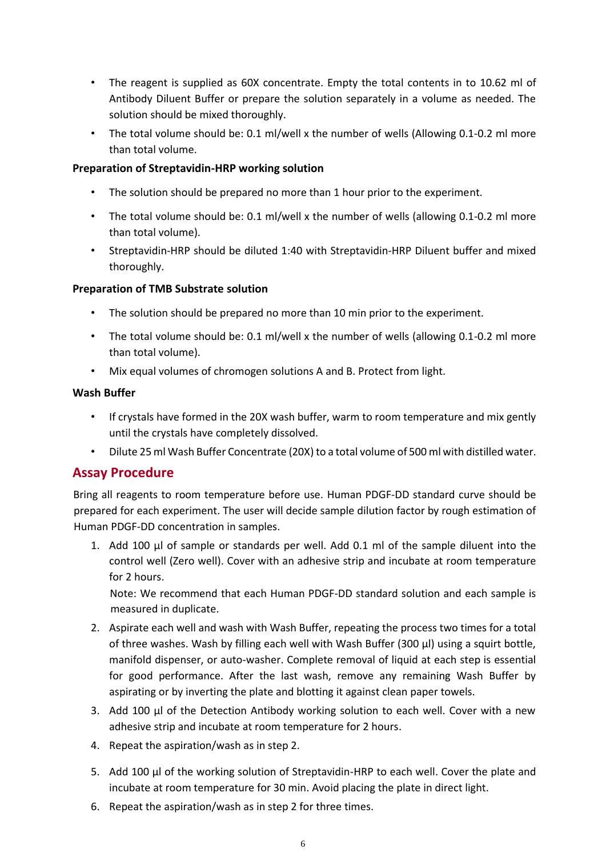- The reagent is supplied as 60X concentrate. Empty the total contents in to 10.62 ml of Antibody Diluent Buffer or prepare the solution separately in a volume as needed. The solution should be mixed thoroughly.
- The total volume should be: 0.1 ml/well x the number of wells (Allowing 0.1-0.2 ml more than total volume.

#### **Preparation of Streptavidin-HRP working solution**

- The solution should be prepared no more than 1 hour prior to the experiment.
- The total volume should be: 0.1 ml/well x the number of wells (allowing 0.1-0.2 ml more than total volume).
- Streptavidin-HRP should be diluted 1:40 with Streptavidin-HRP Diluent buffer and mixed thoroughly.

#### **Preparation of TMB Substrate solution**

- The solution should be prepared no more than 10 min prior to the experiment.
- The total volume should be: 0.1 ml/well x the number of wells (allowing 0.1-0.2 ml more than total volume).
- Mix equal volumes of chromogen solutions A and B. Protect from light.

#### **Wash Buffer**

- If crystals have formed in the 20X wash buffer, warm to room temperature and mix gently until the crystals have completely dissolved.
- Dilute 25 ml Wash Buffer Concentrate (20X) to a total volume of 500 ml with distilled water.

#### **Assay Procedure**

Bring all reagents to room temperature before use. Human PDGF-DD standard curve should be prepared for each experiment. The user will decide sample dilution factor by rough estimation of Human PDGF-DD concentration in samples.

1. Add 100 µl of sample or standards per well. Add 0.1 ml of the sample diluent into the control well (Zero well). Cover with an adhesive strip and incubate at room temperature for 2 hours.

Note: We recommend that each Human PDGF-DD standard solution and each sample is measured in duplicate.

- 2. Aspirate each well and wash with Wash Buffer, repeating the process two times for a total of three washes. Wash by filling each well with Wash Buffer (300 µl) using a squirt bottle, manifold dispenser, or auto-washer. Complete removal of liquid at each step is essential for good performance. After the last wash, remove any remaining Wash Buffer by aspirating or by inverting the plate and blotting it against clean paper towels.
- 3. Add 100 µl of the Detection Antibody working solution to each well. Cover with a new adhesive strip and incubate at room temperature for 2 hours.
- 4. Repeat the aspiration/wash as in step 2.
- 5. Add 100 µl of the working solution of Streptavidin-HRP to each well. Cover the plate and incubate at room temperature for 30 min. Avoid placing the plate in direct light.
- 6. Repeat the aspiration/wash as in step 2 for three times.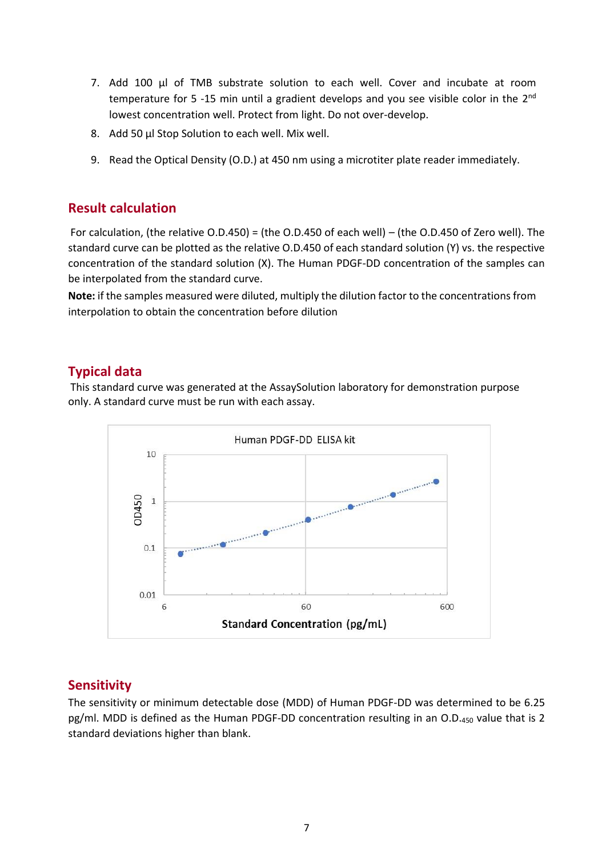- 7. Add 100 μl of TMB substrate solution to each well. Cover and incubate at room temperature for 5 -15 min until a gradient develops and you see visible color in the 2<sup>nd</sup> lowest concentration well. Protect from light. Do not over-develop.
- 8. Add 50 μl Stop Solution to each well. Mix well.
- 9. Read the Optical Density (O.D.) at 450 nm using a microtiter plate reader immediately.

#### **Result calculation**

For calculation, (the relative O.D.450) = (the O.D.450 of each well) – (the O.D.450 of Zero well). The standard curve can be plotted as the relative O.D.450 of each standard solution (Y) vs. the respective concentration of the standard solution (X). The Human PDGF-DD concentration of the samples can be interpolated from the standard curve.

**Note:** if the samples measured were diluted, multiply the dilution factor to the concentrations from interpolation to obtain the concentration before dilution

#### **Typical data**

This standard curve was generated at the AssaySolution laboratory for demonstration purpose only. A standard curve must be run with each assay.



#### **Sensitivity**

The sensitivity or minimum detectable dose (MDD) of Human PDGF-DD was determined to be 6.25 pg/ml. MDD is defined as the Human PDGF-DD concentration resulting in an O.D.450 value that is 2 standard deviations higher than blank.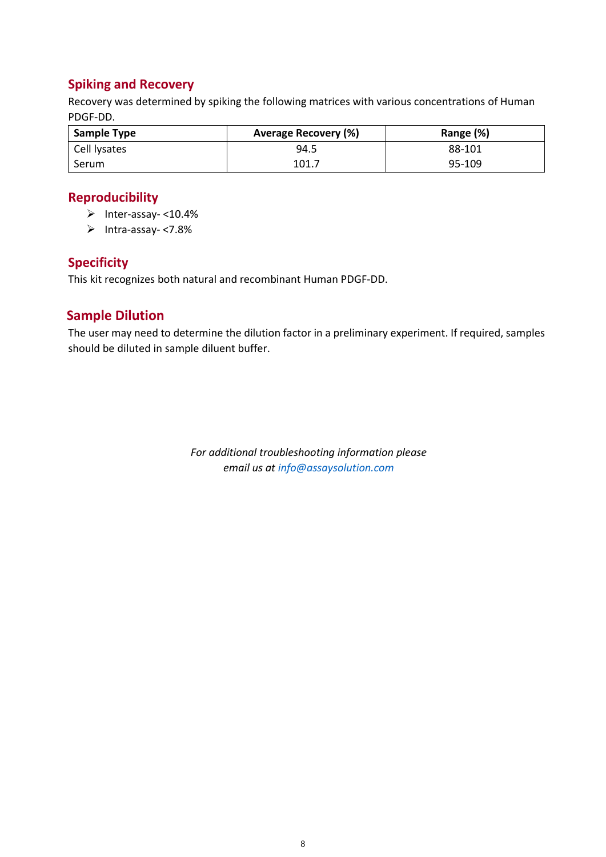#### **Spiking and Recovery**

Recovery was determined by spiking the following matrices with various concentrations of Human PDGF-DD.

| <b>Sample Type</b> | <b>Average Recovery (%)</b> | Range (%) |
|--------------------|-----------------------------|-----------|
| Cell lysates       | 94.5                        | 88-101    |
| Serum              | 101.7                       | 95-109    |

#### **Reproducibility**

- ➢ Inter-assay- <10.4%
- ➢ Intra-assay- <7.8%

#### **Specificity**

This kit recognizes both natural and recombinant Human PDGF-DD.

#### **Sample Dilution**

The user may need to determine the dilution factor in a preliminary experiment. If required, samples should be diluted in sample diluent buffer.

> *For additional troubleshooting information please email us at info@assaysolution.com*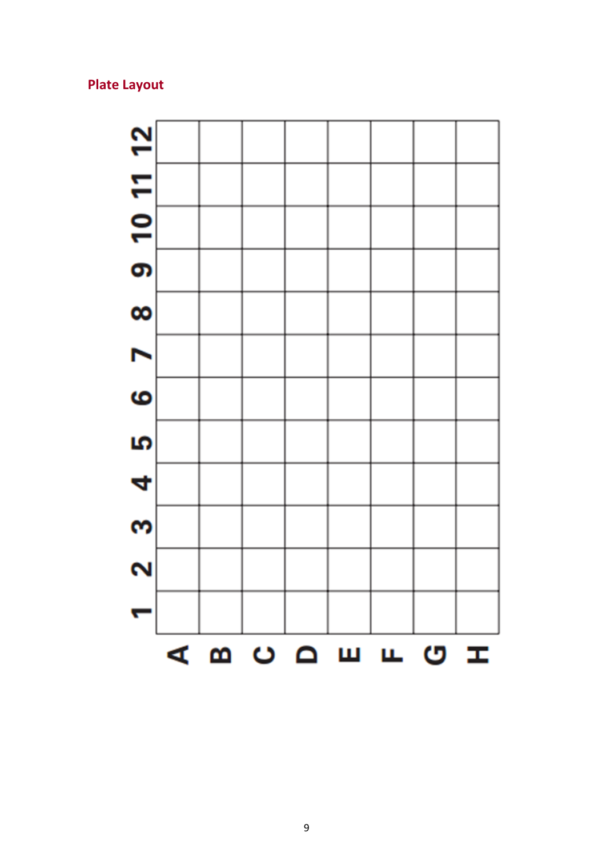### **Plate Layout**

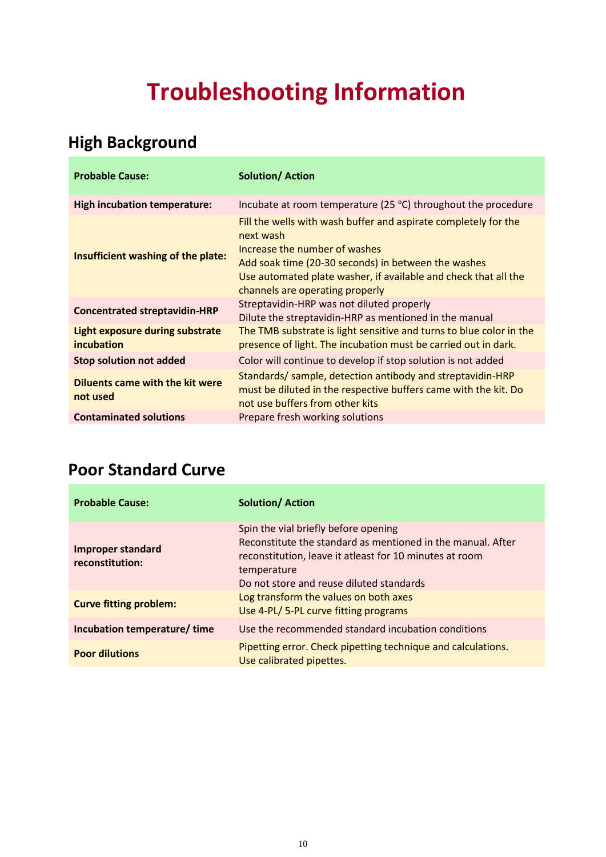## **Troubleshooting Information**

## **High Background**

| <b>Probable Cause:</b>                               | <b>Solution/Action</b>                                                                                                                                                                                                                                                     |
|------------------------------------------------------|----------------------------------------------------------------------------------------------------------------------------------------------------------------------------------------------------------------------------------------------------------------------------|
| <b>High incubation temperature:</b>                  | Incubate at room temperature (25 $\degree$ C) throughout the procedure                                                                                                                                                                                                     |
| Insufficient washing of the plate:                   | Fill the wells with wash buffer and aspirate completely for the<br>next wash<br>Increase the number of washes<br>Add soak time (20-30 seconds) in between the washes<br>Use automated plate washer, if available and check that all the<br>channels are operating properly |
| <b>Concentrated streptavidin-HRP</b>                 | Streptavidin-HRP was not diluted properly<br>Dilute the streptavidin-HRP as mentioned in the manual                                                                                                                                                                        |
| <b>Light exposure during substrate</b><br>incubation | The TMB substrate is light sensitive and turns to blue color in the<br>presence of light. The incubation must be carried out in dark.                                                                                                                                      |
| <b>Stop solution not added</b>                       | Color will continue to develop if stop solution is not added                                                                                                                                                                                                               |
| <b>Diluents came with the kit were</b><br>not used   | Standards/ sample, detection antibody and streptavidin-HRP<br>must be diluted in the respective buffers came with the kit. Do<br>not use buffers from other kits                                                                                                           |
| <b>Contaminated solutions</b>                        | Prepare fresh working solutions                                                                                                                                                                                                                                            |

## **Poor Standard Curve**

| <b>Probable Cause:</b>                      | <b>Solution/Action</b>                                                                                                                                                                                                     |
|---------------------------------------------|----------------------------------------------------------------------------------------------------------------------------------------------------------------------------------------------------------------------------|
| <b>Improper standard</b><br>reconstitution: | Spin the vial briefly before opening<br>Reconstitute the standard as mentioned in the manual. After<br>reconstitution, leave it at least for 10 minutes at room<br>temperature<br>Do not store and reuse diluted standards |
| <b>Curve fitting problem:</b>               | Log transform the values on both axes<br>Use 4-PL/5-PL curve fitting programs                                                                                                                                              |
| Incubation temperature/time                 | Use the recommended standard incubation conditions                                                                                                                                                                         |
| <b>Poor dilutions</b>                       | Pipetting error. Check pipetting technique and calculations.<br>Use calibrated pipettes.                                                                                                                                   |